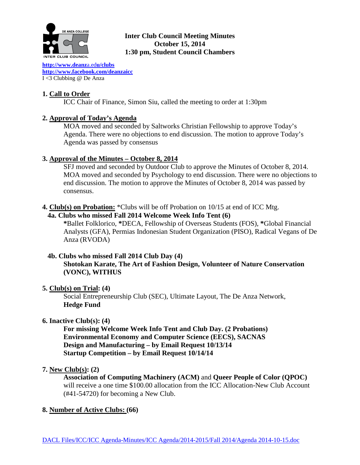

# **Inter Club Council Meeting Minutes October 15, 2014 1:30 pm, Student Council Chambers**

**[http://www.deanz](http://www.deanza.edu/clubs)**a.ed**u/clubs [http://www.facebook.com/deanzaicc](http://www.facebook.com/home.php%23!/group.php?gid=59034552686)** I <3 Clubbing @ De Anza

# **1. Call to Order**

ICC Chair of Finance, Simon Siu, called the meeting to order at 1:30pm

# **2. Approval of Today's Agenda**

MOA moved and seconded by Saltworks Christian Fellowship to approve Today's Agenda. There were no objections to end discussion. The motion to approve Today's Agenda was passed by consensus

### **3. Approval of the Minutes – October 8, 2014**

SFJ moved and seconded by Outdoor Club to approve the Minutes of October 8, 2014. MOA moved and seconded by Psychology to end discussion. There were no objections to end discussion. The motion to approve the Minutes of October 8, 2014 was passed by consensus.

**4. Club(s) on Probation:** \*Clubs will be off Probation on 10/15 at end of ICC Mtg.

### **4a. Clubs who missed Fall 2014 Welcome Week Info Tent (6)**

**\***Ballet Folklorico, **\***DECA, Fellowship of Overseas Students (FOS), **\***Global Financial Analysts (GFA), Permias Indonesian Student Organization (PISO), Radical Vegans of De Anza (RVODA)

# **4b. Clubs who missed Fall 2014 Club Day (4)**

**Shotokan Karate, The Art of Fashion Design, Volunteer of Nature Conservation (VONC), WITHUS**

# **5. Club(s) on Trial: (4)**

Social Entrepreneurship Club (SEC), Ultimate Layout, The De Anza Network, **Hedge Fund**

### **6. Inactive Club(s): (4)**

**For missing Welcome Week Info Tent and Club Day. (2 Probations) Environmental Economy and Computer Science (EECS), SACNAS Design and Manufacturing – by Email Request 10/13/14 Startup Competition – by Email Request 10/14/14**

### **7. New Club(s): (2)**

**Association of Computing Machinery (ACM)** and **Queer People of Color (QPOC)** will receive a one time \$100.00 allocation from the ICC Allocation-New Club Account (#41-54720) for becoming a New Club.

# **8. Number of Active Clubs: (66)**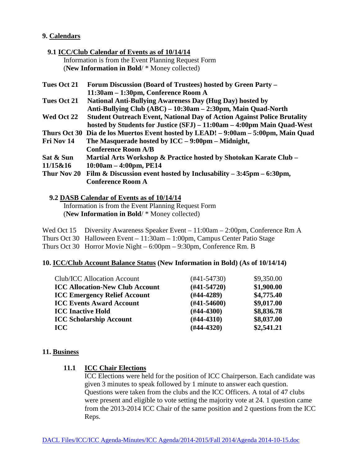### **9. Calendars**

### **9.1 ICC/Club Calendar of Events as of 10/14/14**

 Information is from the Event Planning Request Form (**New Information in Bold**/ \* Money collected)

| <b>Tues Oct 21</b> | Forum Discussion (Board of Trustees) hosted by Green Party -                       |
|--------------------|------------------------------------------------------------------------------------|
|                    | 11:30am – 1:30pm, Conference Room A                                                |
| <b>Tues Oct 21</b> | <b>National Anti-Bullying Awareness Day (Hug Day) hosted by</b>                    |
|                    | Anti-Bullying Club (ABC) – 10:30am – 2:30pm, Main Quad-North                       |
| Wed Oct 22         | <b>Student Outreach Event, National Day of Action Against Police Brutality</b>     |
|                    | hosted by Students for Justice (SFJ) - 11:00am - 4:00pm Main Quad-West             |
|                    | Thurs Oct 30 Dia de los Muertos Event hosted by LEAD! - 9:00am - 5:00pm, Main Quad |
| Fri Nov 14         | The Masquerade hosted by $\text{ICC}-9:00 \text{pm}-\text{Midnight},$              |
|                    | <b>Conference Room A/B</b>                                                         |
| Sat & Sun          | Martial Arts Workshop & Practice hosted by Shotokan Karate Club –                  |
| 11/15&16           | $10:00am - 4:00pm, PE14$                                                           |
| Thur Nov 20        | Film & Discussion event hosted by Inclusability $-3:45\text{pm} - 6:30\text{pm}$ , |
|                    | <b>Conference Room A</b>                                                           |
|                    |                                                                                    |

#### **9.2 DASB Calendar of Events as of 10/14/14**

 Information is from the Event Planning Request Form (**New Information in Bold**/ \* Money collected)

Wed Oct 15 Diversity Awareness Speaker Event – 11:00am – 2:00pm, Conference Rm A Thurs Oct 30 Halloween Event – 11:30am – 1:00pm, Campus Center Patio Stage Thurs Oct 30 Horror Movie Night – 6:00pm – 9:30pm, Conference Rm. B

### **10. ICC/Club Account Balance Status (New Information in Bold) (As of 10/14/14)**

| (#41-54730)   | \$9,350.00 |
|---------------|------------|
| $(#41-54720)$ | \$1,900.00 |
| $(H44-4289)$  | \$4,775.40 |
| $(H41-54600)$ | \$9,017.00 |
| $(\#44-4300)$ | \$8,836.78 |
| $(H44-4310)$  | \$8,037.00 |
| $(#44-4320)$  | \$2,541.21 |
|               |            |

### **11. Business**

### **11.1 ICC Chair Elections**

ICC Elections were held for the position of ICC Chairperson. Each candidate was given 3 minutes to speak followed by 1 minute to answer each question. Questions were taken from the clubs and the ICC Officers. A total of 47 clubs were present and eligible to vote setting the majority vote at 24. 1 question came from the 2013-2014 ICC Chair of the same position and 2 questions from the ICC Reps.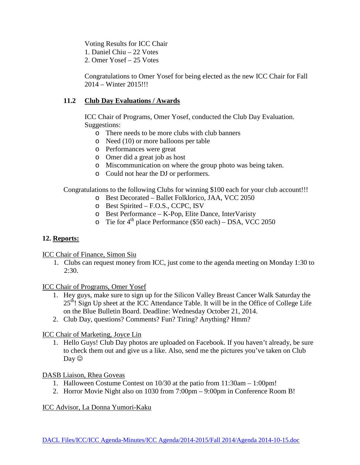Voting Results for ICC Chair

1. Daniel Chiu – 22 Votes

2. Omer Yosef – 25 Votes

Congratulations to Omer Yosef for being elected as the new ICC Chair for Fall 2014 – Winter 2015!!!

# **11.2 Club Day Evaluations / Awards**

ICC Chair of Programs, Omer Yosef, conducted the Club Day Evaluation. Suggestions:

- o There needs to be more clubs with club banners
- o Need (10) or more balloons per table
- o Performances were great
- o Omer did a great job as host
- o Miscommunication on where the group photo was being taken.
- o Could not hear the DJ or performers.

Congratulations to the following Clubs for winning \$100 each for your club account!!!

- o Best Decorated Ballet Folklorico, JAA, VCC 2050
- o Best Spirited F.O.S., CCPC, ISV
- o Best Performance K-Pop, Elite Dance, InterVaristy
- o Tie for  $4<sup>th</sup>$  place Performance (\$50 each) DSA, VCC 2050

# **12. Reports:**

ICC Chair of Finance, Simon Siu

1. Clubs can request money from ICC, just come to the agenda meeting on Monday 1:30 to 2:30.

ICC Chair of Programs, Omer Yosef

- 1. Hey guys, make sure to sign up for the Silicon Valley Breast Cancer Walk Saturday the  $25<sup>th</sup>$ ! Sign Up sheet at the ICC Attendance Table. It will be in the Office of College Life on the Blue Bulletin Board. Deadline: Wednesday October 21, 2014.
- 2. Club Day, questions? Comments? Fun? Tiring? Anything? Hmm?

ICC Chair of Marketing, Joyce Lin

1. Hello Guys! Club Day photos are uploaded on Facebook. If you haven't already, be sure to check them out and give us a like. Also, send me the pictures you've taken on Club Day  $\odot$ 

DASB Liaison, Rhea Goveas

- 1. Halloween Costume Contest on 10/30 at the patio from 11:30am 1:00pm!
- 2. Horror Movie Night also on 1030 from 7:00pm 9:00pm in Conference Room B!

ICC Advisor, La Donna Yumori-Kaku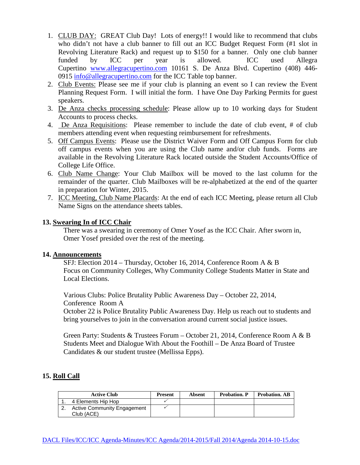- 1. CLUB DAY: GREAT Club Day! Lots of energy!! I would like to recommend that clubs who didn't not have a club banner to fill out an ICC Budget Request Form (#1 slot in Revolving Literature Rack) and request up to \$150 for a banner. Only one club banner funded by ICC per year is allowed. ICC used Allegra Cupertino [www.allegracupertino.com](http://www.allegracupertino.com/) 10161 S. De Anza Blvd. Cupertino (408) 446- 0915 [info@allegracupertino.com](mailto:info@allegracupertino.com) for the ICC Table top banner.
- 2. Club Events: Please see me if your club is planning an event so I can review the Event Planning Request Form. I will initial the form. I have One Day Parking Permits for guest speakers.
- 3. De Anza checks processing schedule: Please allow up to 10 working days for Student Accounts to process checks.
- 4. De Anza Requisitions: Please remember to include the date of club event, # of club members attending event when requesting reimbursement for refreshments.
- 5. Off Campus Events: Please use the District Waiver Form and Off Campus Form for club off campus events when you are using the Club name and/or club funds. Forms are available in the Revolving Literature Rack located outside the Student Accounts/Office of College Life Office.
- 6. Club Name Change: Your Club Mailbox will be moved to the last column for the remainder of the quarter. Club Mailboxes will be re-alphabetized at the end of the quarter in preparation for Winter, 2015.
- 7. ICC Meeting, Club Name Placards: At the end of each ICC Meeting, please return all Club Name Signs on the attendance sheets tables.

### **13. Swearing In of ICC Chair**

There was a swearing in ceremony of Omer Yosef as the ICC Chair. After sworn in, Omer Yosef presided over the rest of the meeting.

### **14. Announcements**

SFJ: Election 2014 – Thursday, October 16, 2014, Conference Room A & B Focus on Community Colleges, Why Community College Students Matter in State and Local Elections.

Various Clubs: Police Brutality Public Awareness Day – October 22, 2014, Conference Room A

October 22 is Police Brutality Public Awareness Day. Help us reach out to students and bring yourselves to join in the conversation around current social justice issues.

Green Party: Students & Trustees Forum – October 21, 2014, Conference Room A & B Students Meet and Dialogue With About the Foothill – De Anza Board of Trustee Candidates & our student trustee (Mellissa Epps).

# **15. Roll Call**

| <b>Active Club</b>                 | <b>Present</b> | Absent | <b>Probation</b> , P | <b>Probation. AB</b> |
|------------------------------------|----------------|--------|----------------------|----------------------|
| 4 Elements Hip Hop                 |                |        |                      |                      |
| <b>Active Community Engagement</b> |                |        |                      |                      |
| Club (ACE)                         |                |        |                      |                      |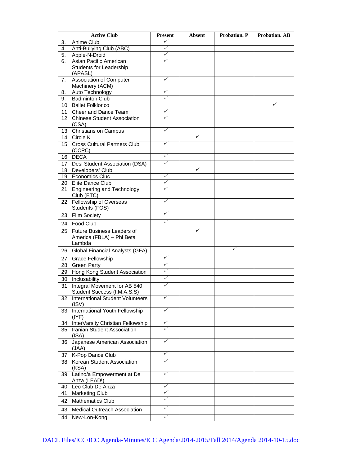| <b>Active Club</b> |                                                             | <b>Present</b>    | <b>Absent</b> | Probation. P | <b>Probation. AB</b> |
|--------------------|-------------------------------------------------------------|-------------------|---------------|--------------|----------------------|
| 3.                 | Anime Club                                                  | ✓                 |               |              |                      |
| 4.                 | Anti-Bullying Club (ABC)                                    | ✓                 |               |              |                      |
| 5.                 | Apple-N-Droid                                               | ✓                 |               |              |                      |
| 6.                 | Asian Pacific American                                      | ✓                 |               |              |                      |
|                    | Students for Leadership                                     |                   |               |              |                      |
|                    | (APASL)                                                     |                   |               |              |                      |
| 7.                 | Association of Computer                                     | ✓                 |               |              |                      |
|                    | Machinery (ACM)                                             |                   |               |              |                      |
| 8.                 | Auto Technology                                             | ✓<br>$\checkmark$ |               |              |                      |
| 9.                 | <b>Badminton Club</b>                                       |                   |               |              | ✓                    |
|                    | 10. Ballet Folklorico                                       | ✓                 |               |              |                      |
|                    | 11. Cheer and Dance Team<br>12. Chinese Student Association | ✓                 |               |              |                      |
|                    | (CSA)                                                       |                   |               |              |                      |
|                    | 13. Christians on Campus                                    | ✓                 |               |              |                      |
|                    | 14. Circle K                                                |                   | ✓             |              |                      |
|                    | 15. Cross Cultural Partners Club                            | ✓                 |               |              |                      |
|                    | (CCPC)                                                      |                   |               |              |                      |
|                    | 16. DECA                                                    | ✓                 |               |              |                      |
|                    | 17. Desi Student Association (DSA)                          | ✓                 |               |              |                      |
|                    | 18. Developers' Club                                        |                   | ✓             |              |                      |
|                    | 19. Economics Cluc                                          | ✓                 |               |              |                      |
|                    | 20. Elite Dance Club                                        | ✓                 |               |              |                      |
|                    | 21. Engineering and Technology                              | ✓                 |               |              |                      |
|                    | Club (ETC)                                                  |                   |               |              |                      |
|                    | 22. Fellowship of Overseas                                  | ✓                 |               |              |                      |
|                    | Students (FOS)                                              |                   |               |              |                      |
|                    | 23. Film Society                                            | ✓                 |               |              |                      |
|                    | 24. Food Club                                               | ✓                 |               |              |                      |
|                    | 25. Future Business Leaders of                              |                   | ✓             |              |                      |
|                    | America (FBLA) - Phi Beta                                   |                   |               |              |                      |
|                    | Lambda                                                      |                   |               |              |                      |
|                    | 26. Global Financial Analysts (GFA)                         |                   |               | ✓            |                      |
|                    | 27. Grace Fellowship                                        | ✓                 |               |              |                      |
|                    | 28. Green Party                                             | ✓                 |               |              |                      |
|                    | 29. Hong Kong Student Association                           | ✓                 |               |              |                      |
|                    | 30. Inclusability                                           | ✓                 |               |              |                      |
|                    | 31. Integral Movement for AB 540                            | ✓                 |               |              |                      |
|                    | Student Success (I.M.A.S.S)                                 |                   |               |              |                      |
|                    | 32. International Student Volunteers                        | ✓                 |               |              |                      |
|                    | (ISV)                                                       |                   |               |              |                      |
|                    | 33. International Youth Fellowship                          | ✓                 |               |              |                      |
|                    | (IVF)                                                       |                   |               |              |                      |
|                    | 34. InterVarsity Christian Fellowship                       | ✓                 |               |              |                      |
|                    | 35. Iranian Student Association                             | ✓                 |               |              |                      |
|                    | (ISA)                                                       |                   |               |              |                      |
|                    | 36. Japanese American Association                           | ✓                 |               |              |                      |
|                    | (JAA)                                                       |                   |               |              |                      |
|                    | 37. K-Pop Dance Club                                        | ✓                 |               |              |                      |
|                    | 38. Korean Student Association                              | ✓                 |               |              |                      |
|                    | (KSA)                                                       |                   |               |              |                      |
|                    | 39. Latino/a Empowerment at De                              | ✓                 |               |              |                      |
|                    | Anza (LEAD!)                                                |                   |               |              |                      |
|                    | 40. Leo Club De Anza                                        | ✓                 |               |              |                      |
|                    | 41. Marketing Club                                          | ✓                 |               |              |                      |
|                    | 42. Mathematics Club                                        | ✓                 |               |              |                      |
|                    | 43. Medical Outreach Association                            | ✓                 |               |              |                      |
|                    | 44. New-Lon-Kong                                            | ✓                 |               |              |                      |
|                    |                                                             |                   |               |              |                      |